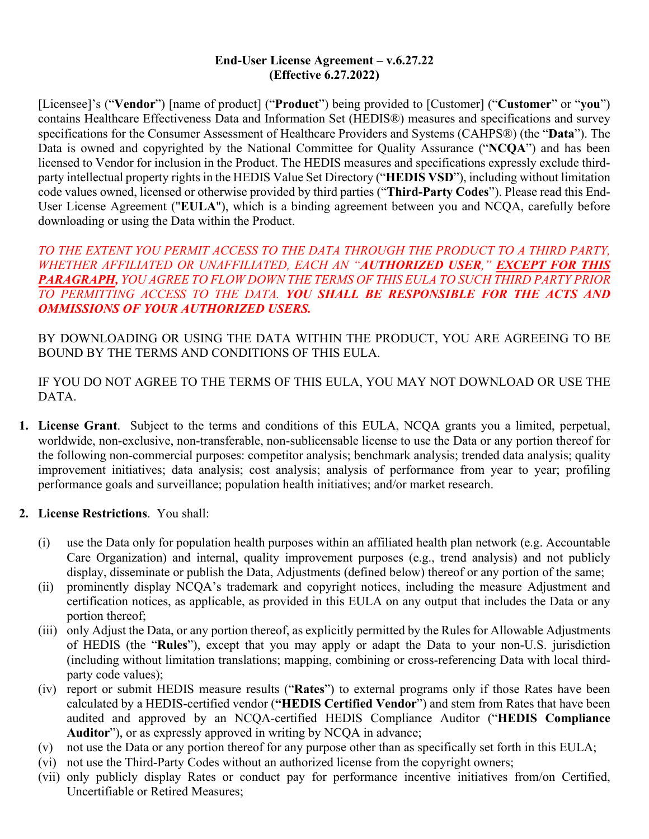#### **End-User License Agreement – v.6.27.22 (Effective 6.27.2022)**

[Licensee]'s ("**Vendor**") [name of product] ("**Product**") being provided to [Customer] ("**Customer**" or "**you**") contains Healthcare Effectiveness Data and Information Set (HEDIS®) measures and specifications and survey specifications for the Consumer Assessment of Healthcare Providers and Systems (CAHPS®) (the "**Data**"). The Data is owned and copyrighted by the National Committee for Quality Assurance ("**NCQA**") and has been licensed to Vendor for inclusion in the Product. The HEDIS measures and specifications expressly exclude thirdparty intellectual property rights in the HEDIS Value Set Directory ("**HEDIS VSD**"), including without limitation code values owned, licensed or otherwise provided by third parties ("**Third-Party Codes**"). Please read this End-User License Agreement ("**EULA**"), which is a binding agreement between you and NCQA, carefully before downloading or using the Data within the Product.

*TO THE EXTENT YOU PERMIT ACCESS TO THE DATA THROUGH THE PRODUCT TO A THIRD PARTY, WHETHER AFFILIATED OR UNAFFILIATED, EACH AN "AUTHORIZED USER," EXCEPT FOR THIS PARAGRAPH, YOU AGREE TO FLOW DOWN THE TERMS OF THIS EULA TO SUCH THIRD PARTY PRIOR TO PERMITTING ACCESS TO THE DATA. YOU SHALL BE RESPONSIBLE FOR THE ACTS AND OMMISSIONS OF YOUR AUTHORIZED USERS.*

BY DOWNLOADING OR USING THE DATA WITHIN THE PRODUCT, YOU ARE AGREEING TO BE BOUND BY THE TERMS AND CONDITIONS OF THIS EULA.

IF YOU DO NOT AGREE TO THE TERMS OF THIS EULA, YOU MAY NOT DOWNLOAD OR USE THE DATA.

- **1. License Grant**. Subject to the terms and conditions of this EULA, NCQA grants you a limited, perpetual, worldwide, non-exclusive, non-transferable, non-sublicensable license to use the Data or any portion thereof for the following non-commercial purposes: competitor analysis; benchmark analysis; trended data analysis; quality improvement initiatives; data analysis; cost analysis; analysis of performance from year to year; profiling performance goals and surveillance; population health initiatives; and/or market research.
- **2. License Restrictions**. You shall:
	- (i) use the Data only for population health purposes within an affiliated health plan network (e.g. Accountable Care Organization) and internal, quality improvement purposes (e.g., trend analysis) and not publicly display, disseminate or publish the Data, Adjustments (defined below) thereof or any portion of the same;
	- (ii) prominently display NCQA's trademark and copyright notices, including the measure Adjustment and certification notices, as applicable, as provided in this EULA on any output that includes the Data or any portion thereof;
	- (iii) only Adjust the Data, or any portion thereof, as explicitly permitted by the Rules for Allowable Adjustments of HEDIS (the "**Rules**"), except that you may apply or adapt the Data to your non-U.S. jurisdiction (including without limitation translations; mapping, combining or cross-referencing Data with local thirdparty code values);
	- (iv) report or submit HEDIS measure results ("**Rates**") to external programs only if those Rates have been calculated by a HEDIS-certified vendor (**"HEDIS Certified Vendor**") and stem from Rates that have been audited and approved by an NCQA-certified HEDIS Compliance Auditor ("**HEDIS Compliance Auditor**"), or as expressly approved in writing by NCQA in advance;
	- (v) not use the Data or any portion thereof for any purpose other than as specifically set forth in this EULA;
	- (vi) not use the Third-Party Codes without an authorized license from the copyright owners;
	- (vii) only publicly display Rates or conduct pay for performance incentive initiatives from/on Certified, Uncertifiable or Retired Measures;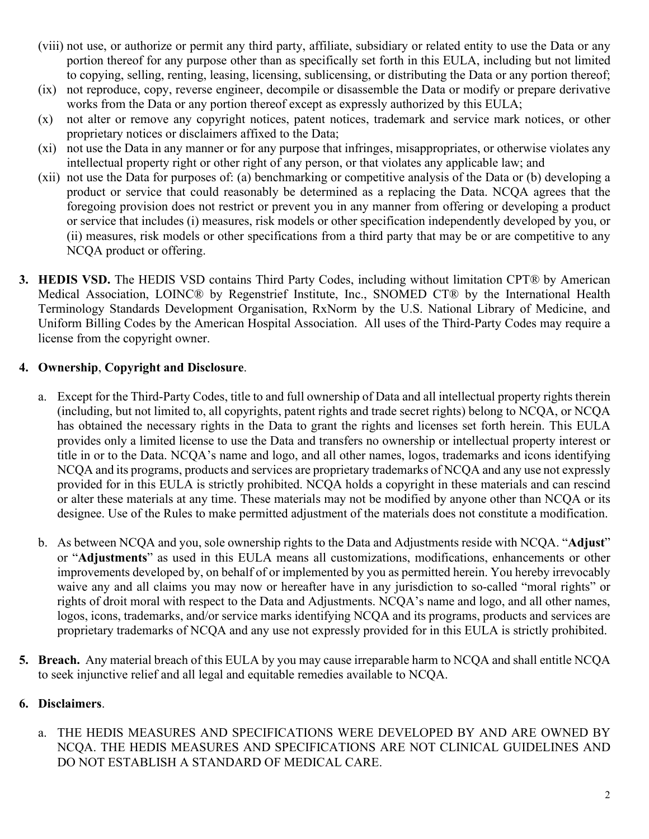- (viii) not use, or authorize or permit any third party, affiliate, subsidiary or related entity to use the Data or any portion thereof for any purpose other than as specifically set forth in this EULA, including but not limited to copying, selling, renting, leasing, licensing, sublicensing, or distributing the Data or any portion thereof;
- (ix) not reproduce, copy, reverse engineer, decompile or disassemble the Data or modify or prepare derivative works from the Data or any portion thereof except as expressly authorized by this EULA;
- (x) not alter or remove any copyright notices, patent notices, trademark and service mark notices, or other proprietary notices or disclaimers affixed to the Data;
- (xi) not use the Data in any manner or for any purpose that infringes, misappropriates, or otherwise violates any intellectual property right or other right of any person, or that violates any applicable law; and
- (xii) not use the Data for purposes of: (a) benchmarking or competitive analysis of the Data or (b) developing a product or service that could reasonably be determined as a replacing the Data. NCQA agrees that the foregoing provision does not restrict or prevent you in any manner from offering or developing a product or service that includes (i) measures, risk models or other specification independently developed by you, or (ii) measures, risk models or other specifications from a third party that may be or are competitive to any NCQA product or offering.
- **3. HEDIS VSD.** The HEDIS VSD contains Third Party Codes, including without limitation CPT® by American Medical Association, LOINC® by Regenstrief Institute, Inc., SNOMED CT® by the International Health Terminology Standards Development Organisation, RxNorm by the U.S. National Library of Medicine, and Uniform Billing Codes by the American Hospital Association. All uses of the Third-Party Codes may require a license from the copyright owner.

### **4. Ownership**, **Copyright and Disclosure**.

- a. Except for the Third-Party Codes, title to and full ownership of Data and all intellectual property rights therein (including, but not limited to, all copyrights, patent rights and trade secret rights) belong to NCQA, or NCQA has obtained the necessary rights in the Data to grant the rights and licenses set forth herein. This EULA provides only a limited license to use the Data and transfers no ownership or intellectual property interest or title in or to the Data. NCQA's name and logo, and all other names, logos, trademarks and icons identifying NCQA and its programs, products and services are proprietary trademarks of NCQA and any use not expressly provided for in this EULA is strictly prohibited. NCQA holds a copyright in these materials and can rescind or alter these materials at any time. These materials may not be modified by anyone other than NCQA or its designee. Use of the Rules to make permitted adjustment of the materials does not constitute a modification.
- b. As between NCQA and you, sole ownership rights to the Data and Adjustments reside with NCQA. "**Adjust**" or "**Adjustments**" as used in this EULA means all customizations, modifications, enhancements or other improvements developed by, on behalf of or implemented by you as permitted herein. You hereby irrevocably waive any and all claims you may now or hereafter have in any jurisdiction to so-called "moral rights" or rights of droit moral with respect to the Data and Adjustments. NCQA's name and logo, and all other names, logos, icons, trademarks, and/or service marks identifying NCQA and its programs, products and services are proprietary trademarks of NCQA and any use not expressly provided for in this EULA is strictly prohibited.
- **5. Breach.** Any material breach of this EULA by you may cause irreparable harm to NCQA and shall entitle NCQA to seek injunctive relief and all legal and equitable remedies available to NCQA.

#### **6. Disclaimers**.

a. THE HEDIS MEASURES AND SPECIFICATIONS WERE DEVELOPED BY AND ARE OWNED BY NCQA. THE HEDIS MEASURES AND SPECIFICATIONS ARE NOT CLINICAL GUIDELINES AND DO NOT ESTABLISH A STANDARD OF MEDICAL CARE.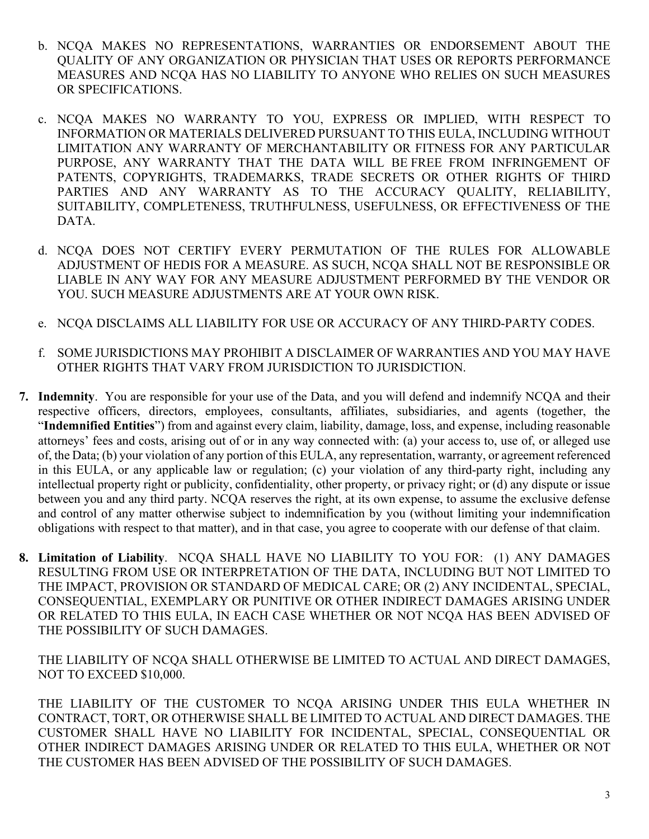- b. NCQA MAKES NO REPRESENTATIONS, WARRANTIES OR ENDORSEMENT ABOUT THE QUALITY OF ANY ORGANIZATION OR PHYSICIAN THAT USES OR REPORTS PERFORMANCE MEASURES AND NCQA HAS NO LIABILITY TO ANYONE WHO RELIES ON SUCH MEASURES OR SPECIFICATIONS.
- c. NCQA MAKES NO WARRANTY TO YOU, EXPRESS OR IMPLIED, WITH RESPECT TO INFORMATION OR MATERIALS DELIVERED PURSUANT TO THIS EULA, INCLUDING WITHOUT LIMITATION ANY WARRANTY OF MERCHANTABILITY OR FITNESS FOR ANY PARTICULAR PURPOSE, ANY WARRANTY THAT THE DATA [WILL BE](https://www.lawinsider.com/clause/no-warranty-of-validity-non-infringement) FREE FROM INFRINGEMENT OF PATENTS, COPYRIGHTS, TRADEMARKS, TRADE SECRETS OR OTHER RIGHTS OF THIRD PARTIES AND ANY WARRANTY AS TO THE ACCURACY QUALITY, RELIABILITY, SUITABILITY, COMPLETENESS, TRUTHFULNESS, USEFULNESS, OR EFFECTIVENESS OF THE DATA.
- d. NCQA DOES NOT CERTIFY EVERY PERMUTATION OF THE RULES FOR ALLOWABLE ADJUSTMENT OF HEDIS FOR A MEASURE. AS SUCH, NCQA SHALL NOT BE RESPONSIBLE OR LIABLE IN ANY WAY FOR ANY MEASURE ADJUSTMENT PERFORMED BY THE VENDOR OR YOU. SUCH MEASURE ADJUSTMENTS ARE AT YOUR OWN RISK.
- e. NCQA DISCLAIMS ALL LIABILITY FOR USE OR ACCURACY OF ANY THIRD-PARTY CODES.
- f. SOME JURISDICTIONS MAY PROHIBIT A DISCLAIMER OF WARRANTIES AND YOU MAY HAVE OTHER RIGHTS THAT VARY FROM JURISDICTION TO JURISDICTION.
- **7. Indemnity**. You are responsible for your use of the Data, and you will defend and indemnify NCQA and their respective officers, directors, employees, consultants, affiliates, subsidiaries, and agents (together, the "**Indemnified Entities**") from and against every claim, liability, damage, loss, and expense, including reasonable attorneys' fees and costs, arising out of or in any way connected with: (a) your access to, use of, or alleged use of, the Data; (b) your violation of any portion of this EULA, any representation, warranty, or agreement referenced in this EULA, or any applicable law or regulation; (c) your violation of any third-party right, including any intellectual property right or publicity, confidentiality, other property, or privacy right; or (d) any dispute or issue between you and any third party. NCQA reserves the right, at its own expense, to assume the exclusive defense and control of any matter otherwise subject to indemnification by you (without limiting your indemnification obligations with respect to that matter), and in that case, you agree to cooperate with our defense of that claim.
- **8. Limitation of Liability**. NCQA SHALL HAVE NO LIABILITY TO YOU FOR: (1) ANY DAMAGES RESULTING FROM USE OR INTERPRETATION OF THE DATA, INCLUDING BUT NOT LIMITED TO THE IMPACT, PROVISION OR STANDARD OF MEDICAL CARE; OR (2) ANY INCIDENTAL, SPECIAL, CONSEQUENTIAL, EXEMPLARY OR PUNITIVE OR OTHER INDIRECT DAMAGES ARISING UNDER OR RELATED TO THIS EULA, IN EACH CASE WHETHER OR NOT NCQA HAS BEEN ADVISED OF THE POSSIBILITY OF SUCH DAMAGES.

THE LIABILITY OF NCQA SHALL OTHERWISE BE LIMITED TO ACTUAL AND DIRECT DAMAGES, NOT TO EXCEED \$10,000.

THE LIABILITY OF THE CUSTOMER TO NCQA ARISING UNDER THIS EULA WHETHER IN CONTRACT, TORT, OR OTHERWISE SHALL BE LIMITED TO ACTUAL AND DIRECT DAMAGES. THE CUSTOMER SHALL HAVE NO LIABILITY FOR INCIDENTAL, SPECIAL, CONSEQUENTIAL OR OTHER INDIRECT DAMAGES ARISING UNDER OR RELATED TO THIS EULA, WHETHER OR NOT THE CUSTOMER HAS BEEN ADVISED OF THE POSSIBILITY OF SUCH DAMAGES.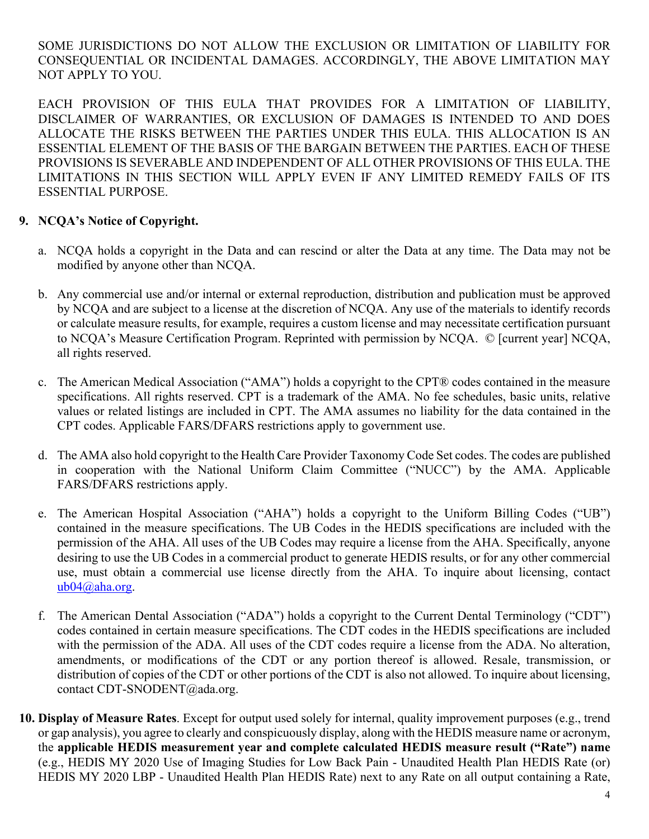SOME JURISDICTIONS DO NOT ALLOW THE EXCLUSION OR LIMITATION OF LIABILITY FOR CONSEQUENTIAL OR INCIDENTAL DAMAGES. ACCORDINGLY, THE ABOVE LIMITATION MAY NOT APPLY TO YOU.

EACH PROVISION OF THIS EULA THAT PROVIDES FOR A LIMITATION OF LIABILITY, DISCLAIMER OF WARRANTIES, OR EXCLUSION OF DAMAGES IS INTENDED TO AND DOES ALLOCATE THE RISKS BETWEEN THE PARTIES UNDER THIS EULA. THIS ALLOCATION IS AN ESSENTIAL ELEMENT OF THE BASIS OF THE BARGAIN BETWEEN THE PARTIES. EACH OF THESE PROVISIONS IS SEVERABLE AND INDEPENDENT OF ALL OTHER PROVISIONS OF THIS EULA. THE LIMITATIONS IN THIS SECTION WILL APPLY EVEN IF ANY LIMITED REMEDY FAILS OF ITS ESSENTIAL PURPOSE.

# **9. NCQA's Notice of Copyright.**

- a. NCQA holds a copyright in the Data and can rescind or alter the Data at any time. The Data may not be modified by anyone other than NCQA.
- b. Any commercial use and/or internal or external reproduction, distribution and publication must be approved by NCQA and are subject to a license at the discretion of NCQA. Any use of the materials to identify records or calculate measure results, for example, requires a custom license and may necessitate certification pursuant to NCQA's Measure Certification Program. Reprinted with permission by NCQA. © [current year] NCQA, all rights reserved.
- c. The American Medical Association ("AMA") holds a copyright to the CPT® codes contained in the measure specifications. All rights reserved. CPT is a trademark of the AMA. No fee schedules, basic units, relative values or related listings are included in CPT. The AMA assumes no liability for the data contained in the CPT codes. Applicable FARS/DFARS restrictions apply to government use.
- d. The AMA also hold copyright to the Health Care Provider Taxonomy Code Set codes. The codes are published in cooperation with the National Uniform Claim Committee ("NUCC") by the AMA. Applicable FARS/DFARS restrictions apply.
- e. The American Hospital Association ("AHA") holds a copyright to the Uniform Billing Codes ("UB") contained in the measure specifications. The UB Codes in the HEDIS specifications are included with the permission of the AHA. All uses of the UB Codes may require a license from the AHA. Specifically, anyone desiring to use the UB Codes in a commercial product to generate HEDIS results, or for any other commercial use, must obtain a commercial use license directly from the AHA. To inquire about licensing, contact [ub04@aha.org.](mailto:ub04@aha.org)
- f. The American Dental Association ("ADA") holds a copyright to the Current Dental Terminology ("CDT") codes contained in certain measure specifications. The CDT codes in the HEDIS specifications are included with the permission of the ADA. All uses of the CDT codes require a license from the ADA. No alteration, amendments, or modifications of the CDT or any portion thereof is allowed. Resale, transmission, or distribution of copies of the CDT or other portions of the CDT is also not allowed. To inquire about licensing, contact CDT-SNODENT@ada.org.
- **10. Display of Measure Rates**. Except for output used solely for internal, quality improvement purposes (e.g., trend or gap analysis), you agree to clearly and conspicuously display, along with the HEDIS measure name or acronym, the **applicable HEDIS measurement year and complete calculated HEDIS measure result ("Rate") name** (e.g., HEDIS MY 2020 Use of Imaging Studies for Low Back Pain - Unaudited Health Plan HEDIS Rate (or) HEDIS MY 2020 LBP - Unaudited Health Plan HEDIS Rate) next to any Rate on all output containing a Rate,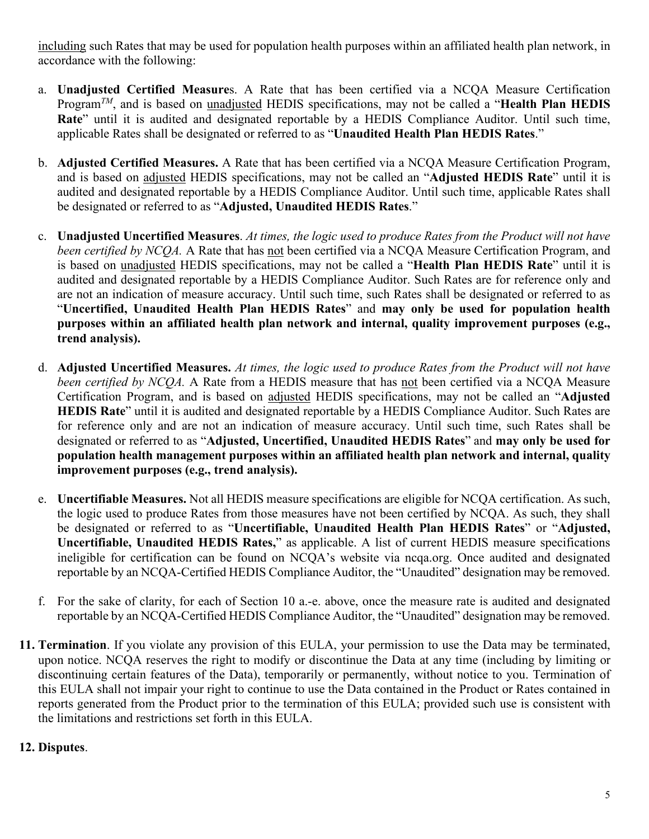including such Rates that may be used for population health purposes within an affiliated health plan network, in accordance with the following:

- a. **Unadjusted Certified Measure**s. A Rate that has been certified via a NCQA Measure Certification Program*TM*, and is based on unadjusted HEDIS specifications, may not be called a "**Health Plan HEDIS Rate**" until it is audited and designated reportable by a HEDIS Compliance Auditor. Until such time, applicable Rates shall be designated or referred to as "**Unaudited Health Plan HEDIS Rates**."
- b. **Adjusted Certified Measures.** A Rate that has been certified via a NCQA Measure Certification Program, and is based on adjusted HEDIS specifications, may not be called an "**Adjusted HEDIS Rate**" until it is audited and designated reportable by a HEDIS Compliance Auditor. Until such time, applicable Rates shall be designated or referred to as "**Adjusted, Unaudited HEDIS Rates**."
- c. **Unadjusted Uncertified Measures**. *At times, the logic used to produce Rates from the Product will not have been certified by NCQA.* A Rate that has not been certified via a NCQA Measure Certification Program, and is based on unadjusted HEDIS specifications, may not be called a "**Health Plan HEDIS Rate**" until it is audited and designated reportable by a HEDIS Compliance Auditor. Such Rates are for reference only and are not an indication of measure accuracy. Until such time, such Rates shall be designated or referred to as "**Uncertified, Unaudited Health Plan HEDIS Rates**" and **may only be used for population health purposes within an affiliated health plan network and internal, quality improvement purposes (e.g., trend analysis).**
- d. **Adjusted Uncertified Measures.** *At times, the logic used to produce Rates from the Product will not have been certified by NCQA.* A Rate from a HEDIS measure that has not been certified via a NCQA Measure Certification Program, and is based on adjusted HEDIS specifications, may not be called an "**Adjusted HEDIS Rate**" until it is audited and designated reportable by a HEDIS Compliance Auditor. Such Rates are for reference only and are not an indication of measure accuracy. Until such time, such Rates shall be designated or referred to as "**Adjusted, Uncertified, Unaudited HEDIS Rates**" and **may only be used for population health management purposes within an affiliated health plan network and internal, quality improvement purposes (e.g., trend analysis).**
- e. **Uncertifiable Measures.** Not all HEDIS measure specifications are eligible for NCQA certification. As such, the logic used to produce Rates from those measures have not been certified by NCQA. As such, they shall be designated or referred to as "**Uncertifiable, Unaudited Health Plan HEDIS Rates**" or "**Adjusted, Uncertifiable, Unaudited HEDIS Rates,**" as applicable. A list of current HEDIS measure specifications ineligible for certification can be found on NCQA's website via ncqa.org. Once audited and designated reportable by an NCQA-Certified HEDIS Compliance Auditor, the "Unaudited" designation may be removed.
- f. For the sake of clarity, for each of Section 10 a.-e. above, once the measure rate is audited and designated reportable by an NCQA-Certified HEDIS Compliance Auditor, the "Unaudited" designation may be removed.
- **11. Termination**. If you violate any provision of this EULA, your permission to use the Data may be terminated, upon notice. NCQA reserves the right to modify or discontinue the Data at any time (including by limiting or discontinuing certain features of the Data), temporarily or permanently, without notice to you. Termination of this EULA shall not impair your right to continue to use the Data contained in the Product or Rates contained in reports generated from the Product prior to the termination of this EULA; provided such use is consistent with the limitations and restrictions set forth in this EULA.

# **12. Disputes**.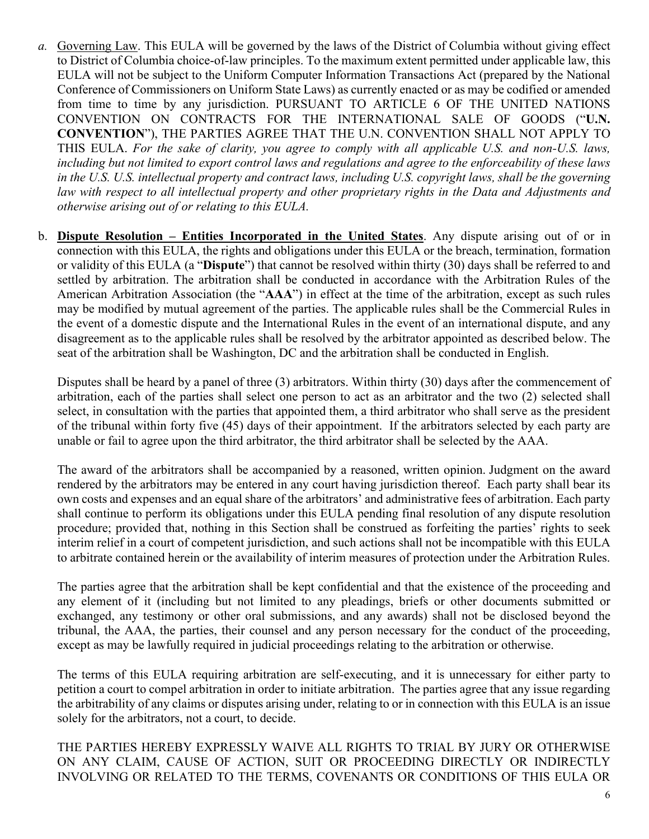- *a.* Governing Law. This EULA will be governed by the laws of the District of Columbia without giving effect to District of Columbia choice-of-law principles. To the maximum extent permitted under applicable law, this EULA will not be subject to the Uniform Computer Information Transactions Act (prepared by the National Conference of Commissioners on Uniform State Laws) as currently enacted or as may be codified or amended from time to time by any jurisdiction. PURSUANT TO ARTICLE 6 OF THE UNITED NATIONS CONVENTION ON CONTRACTS FOR THE INTERNATIONAL SALE OF GOODS ("**U.N. CONVENTION**"), THE PARTIES AGREE THAT THE U.N. CONVENTION SHALL NOT APPLY TO THIS EULA. *For the sake of clarity, you agree to comply with all applicable U.S. and non-U.S. laws, including but not limited to export control laws and regulations and agree to the enforceability of these laws in the U.S. U.S. intellectual property and contract laws, including U.S. copyright laws, shall be the governing law with respect to all intellectual property and other proprietary rights in the Data and Adjustments and otherwise arising out of or relating to this EULA.*
- b. **Dispute Resolution Entities Incorporated in the United States**. Any dispute arising out of or in connection with this EULA, the rights and obligations under this EULA or the breach, termination, formation or validity of this EULA (a "**Dispute**") that cannot be resolved within thirty (30) days shall be referred to and settled by arbitration. The arbitration shall be conducted in accordance with the Arbitration Rules of the American Arbitration Association (the "**AAA**") in effect at the time of the arbitration, except as such rules may be modified by mutual agreement of the parties. The applicable rules shall be the Commercial Rules in the event of a domestic dispute and the International Rules in the event of an international dispute, and any disagreement as to the applicable rules shall be resolved by the arbitrator appointed as described below. The seat of the arbitration shall be Washington, DC and the arbitration shall be conducted in English.

Disputes shall be heard by a panel of three (3) arbitrators. Within thirty (30) days after the commencement of arbitration, each of the parties shall select one person to act as an arbitrator and the two (2) selected shall select, in consultation with the parties that appointed them, a third arbitrator who shall serve as the president of the tribunal within forty five (45) days of their appointment. If the arbitrators selected by each party are unable or fail to agree upon the third arbitrator, the third arbitrator shall be selected by the AAA.

The award of the arbitrators shall be accompanied by a reasoned, written opinion. Judgment on the award rendered by the arbitrators may be entered in any court having jurisdiction thereof. Each party shall bear its own costs and expenses and an equal share of the arbitrators' and administrative fees of arbitration. Each party shall continue to perform its obligations under this EULA pending final resolution of any dispute resolution procedure; provided that, nothing in this Section shall be construed as forfeiting the parties' rights to seek interim relief in a court of competent jurisdiction, and such actions shall not be incompatible with this EULA to arbitrate contained herein or the availability of interim measures of protection under the Arbitration Rules.

The parties agree that the arbitration shall be kept confidential and that the existence of the proceeding and any element of it (including but not limited to any pleadings, briefs or other documents submitted or exchanged, any testimony or other oral submissions, and any awards) shall not be disclosed beyond the tribunal, the AAA, the parties, their counsel and any person necessary for the conduct of the proceeding, except as may be lawfully required in judicial proceedings relating to the arbitration or otherwise.

The terms of this EULA requiring arbitration are self-executing, and it is unnecessary for either party to petition a court to compel arbitration in order to initiate arbitration. The parties agree that any issue regarding the arbitrability of any claims or disputes arising under, relating to or in connection with this EULA is an issue solely for the arbitrators, not a court, to decide.

THE PARTIES HEREBY EXPRESSLY WAIVE ALL RIGHTS TO TRIAL BY JURY OR OTHERWISE ON ANY CLAIM, CAUSE OF ACTION, SUIT OR PROCEEDING DIRECTLY OR INDIRECTLY INVOLVING OR RELATED TO THE TERMS, COVENANTS OR CONDITIONS OF THIS EULA OR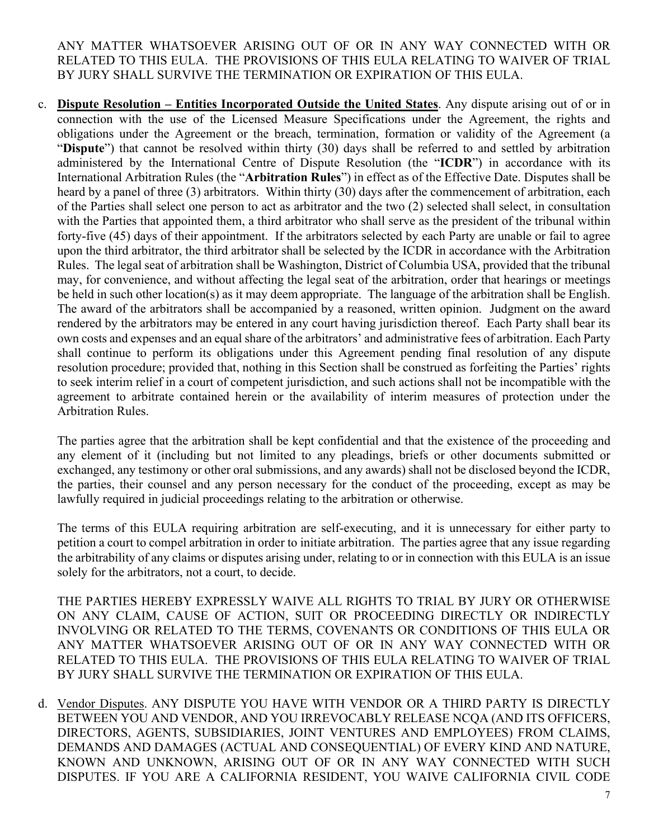ANY MATTER WHATSOEVER ARISING OUT OF OR IN ANY WAY CONNECTED WITH OR RELATED TO THIS EULA. THE PROVISIONS OF THIS EULA RELATING TO WAIVER OF TRIAL BY JURY SHALL SURVIVE THE TERMINATION OR EXPIRATION OF THIS EULA.

c. **Dispute Resolution – Entities Incorporated Outside the United States**. Any dispute arising out of or in connection with the use of the Licensed Measure Specifications under the Agreement, the rights and obligations under the Agreement or the breach, termination, formation or validity of the Agreement (a "**Dispute**") that cannot be resolved within thirty (30) days shall be referred to and settled by arbitration administered by the International Centre of Dispute Resolution (the "**ICDR**") in accordance with its International Arbitration Rules (the "**Arbitration Rules**") in effect as of the Effective Date. Disputes shall be heard by a panel of three (3) arbitrators. Within thirty (30) days after the commencement of arbitration, each of the Parties shall select one person to act as arbitrator and the two (2) selected shall select, in consultation with the Parties that appointed them, a third arbitrator who shall serve as the president of the tribunal within forty-five (45) days of their appointment. If the arbitrators selected by each Party are unable or fail to agree upon the third arbitrator, the third arbitrator shall be selected by the ICDR in accordance with the Arbitration Rules. The legal seat of arbitration shall be Washington, District of Columbia USA, provided that the tribunal may, for convenience, and without affecting the legal seat of the arbitration, order that hearings or meetings be held in such other location(s) as it may deem appropriate. The language of the arbitration shall be English. The award of the arbitrators shall be accompanied by a reasoned, written opinion. Judgment on the award rendered by the arbitrators may be entered in any court having jurisdiction thereof. Each Party shall bear its own costs and expenses and an equal share of the arbitrators' and administrative fees of arbitration. Each Party shall continue to perform its obligations under this Agreement pending final resolution of any dispute resolution procedure; provided that, nothing in this Section shall be construed as forfeiting the Parties' rights to seek interim relief in a court of competent jurisdiction, and such actions shall not be incompatible with the agreement to arbitrate contained herein or the availability of interim measures of protection under the Arbitration Rules.

The parties agree that the arbitration shall be kept confidential and that the existence of the proceeding and any element of it (including but not limited to any pleadings, briefs or other documents submitted or exchanged, any testimony or other oral submissions, and any awards) shall not be disclosed beyond the ICDR, the parties, their counsel and any person necessary for the conduct of the proceeding, except as may be lawfully required in judicial proceedings relating to the arbitration or otherwise.

The terms of this EULA requiring arbitration are self-executing, and it is unnecessary for either party to petition a court to compel arbitration in order to initiate arbitration. The parties agree that any issue regarding the arbitrability of any claims or disputes arising under, relating to or in connection with this EULA is an issue solely for the arbitrators, not a court, to decide.

THE PARTIES HEREBY EXPRESSLY WAIVE ALL RIGHTS TO TRIAL BY JURY OR OTHERWISE ON ANY CLAIM, CAUSE OF ACTION, SUIT OR PROCEEDING DIRECTLY OR INDIRECTLY INVOLVING OR RELATED TO THE TERMS, COVENANTS OR CONDITIONS OF THIS EULA OR ANY MATTER WHATSOEVER ARISING OUT OF OR IN ANY WAY CONNECTED WITH OR RELATED TO THIS EULA. THE PROVISIONS OF THIS EULA RELATING TO WAIVER OF TRIAL BY JURY SHALL SURVIVE THE TERMINATION OR EXPIRATION OF THIS EULA.

d. Vendor Disputes. ANY DISPUTE YOU HAVE WITH VENDOR OR A THIRD PARTY IS DIRECTLY BETWEEN YOU AND VENDOR, AND YOU IRREVOCABLY RELEASE NCQA (AND ITS OFFICERS, DIRECTORS, AGENTS, SUBSIDIARIES, JOINT VENTURES AND EMPLOYEES) FROM CLAIMS, DEMANDS AND DAMAGES (ACTUAL AND CONSEQUENTIAL) OF EVERY KIND AND NATURE, KNOWN AND UNKNOWN, ARISING OUT OF OR IN ANY WAY CONNECTED WITH SUCH DISPUTES. IF YOU ARE A CALIFORNIA RESIDENT, YOU WAIVE CALIFORNIA CIVIL CODE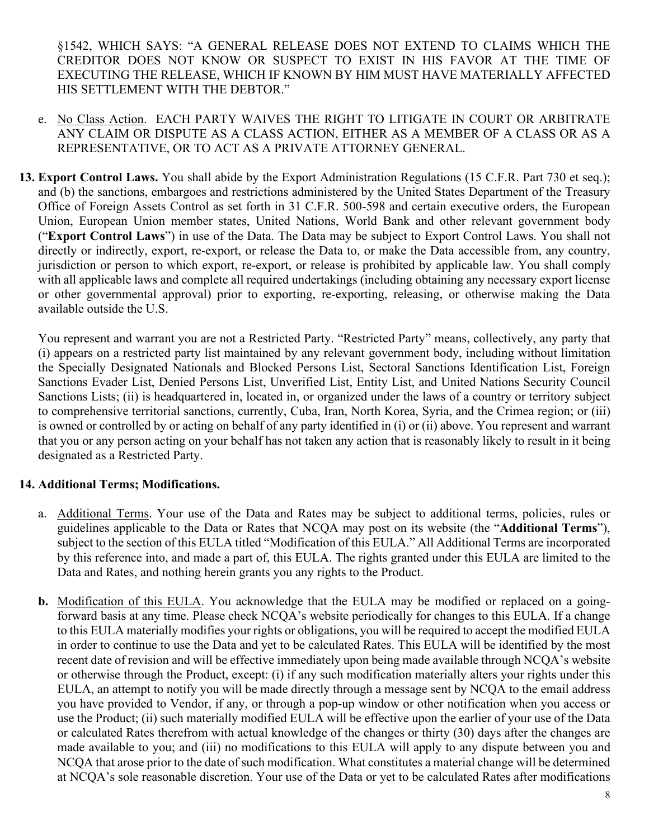§1542, WHICH SAYS: "A GENERAL RELEASE DOES NOT EXTEND TO CLAIMS WHICH THE CREDITOR DOES NOT KNOW OR SUSPECT TO EXIST IN HIS FAVOR AT THE TIME OF EXECUTING THE RELEASE, WHICH IF KNOWN BY HIM MUST HAVE MATERIALLY AFFECTED HIS SETTLEMENT WITH THE DEBTOR."

- e. No Class Action. [EACH PARTY](https://www.lawinsider.com/clause/class-action-waiver) WAIVES THE RIGHT TO LITIGATE IN COURT OR ARBITRATE ANY CLAIM OR DISPUTE AS A CLASS ACTION, EITHER AS A MEMBER OF A CLASS OR AS A REPRESENTATIVE, OR TO ACT AS A PRIVATE ATTORNEY GENERAL.
- **13. Export Control Laws.** You shall abide by the Export Administration Regulations (15 C.F.R. Part 730 et seq.); and (b) the sanctions, embargoes and restrictions administered by the United States Department of the Treasury Office of Foreign Assets Control as set forth in 31 C.F.R. 500-598 and certain executive orders, the European Union, European Union member states, United Nations, World Bank and other relevant government body ("**Export Control Laws**") in use of the Data. The Data may be subject to Export Control Laws. You shall not directly or indirectly, export, re-export, or release the Data to, or make the Data accessible from, any country, jurisdiction or person to which export, re-export, or release is prohibited by applicable law. You shall comply with all applicable laws and complete all required undertakings (including obtaining any necessary export license or other governmental approval) prior to exporting, re-exporting, releasing, or otherwise making the Data available outside the U.S.

You represent and warrant you are not a Restricted Party. "Restricted Party" means, collectively, any party that (i) appears on a restricted party list maintained by any relevant government body, including without limitation the Specially Designated Nationals and Blocked Persons List, Sectoral Sanctions Identification List, Foreign Sanctions Evader List, Denied Persons List, Unverified List, Entity List, and United Nations Security Council Sanctions Lists; (ii) is headquartered in, located in, or organized under the laws of a country or territory subject to comprehensive territorial sanctions, currently, Cuba, Iran, North Korea, Syria, and the Crimea region; or (iii) is owned or controlled by or acting on behalf of any party identified in (i) or (ii) above. You represent and warrant that you or any person acting on your behalf has not taken any action that is reasonably likely to result in it being designated as a Restricted Party.

# **14. Additional Terms; Modifications.**

- a. Additional Terms. Your use of the Data and Rates may be subject to additional terms, policies, rules or guidelines applicable to the Data or Rates that NCQA may post on its website (the "**Additional Terms**"), subject to the section of this EULA titled "Modification of this EULA." All Additional Terms are incorporated by this reference into, and made a part of, this EULA. The rights granted under this EULA are limited to the Data and Rates, and nothing herein grants you any rights to the Product.
- **b.** Modification of this EULA. You acknowledge that the EULA may be modified or replaced on a goingforward basis at any time. Please check NCQA's website periodically for changes to this EULA. If a change to this EULA materially modifies your rights or obligations, you will be required to accept the modified EULA in order to continue to use the Data and yet to be calculated Rates. This EULA will be identified by the most recent date of revision and will be effective immediately upon being made available through NCQA's website or otherwise through the Product, except: (i) if any such modification materially alters your rights under this EULA, an attempt to notify you will be made directly through a message sent by NCQA to the email address you have provided to Vendor, if any, or through a pop-up window or other notification when you access or use the Product; (ii) such materially modified EULA will be effective upon the earlier of your use of the Data or calculated Rates therefrom with actual knowledge of the changes or thirty (30) days after the changes are made available to you; and (iii) no modifications to this EULA will apply to any dispute between you and NCQA that arose prior to the date of such modification. What constitutes a material change will be determined at NCQA's sole reasonable discretion. Your use of the Data or yet to be calculated Rates after modifications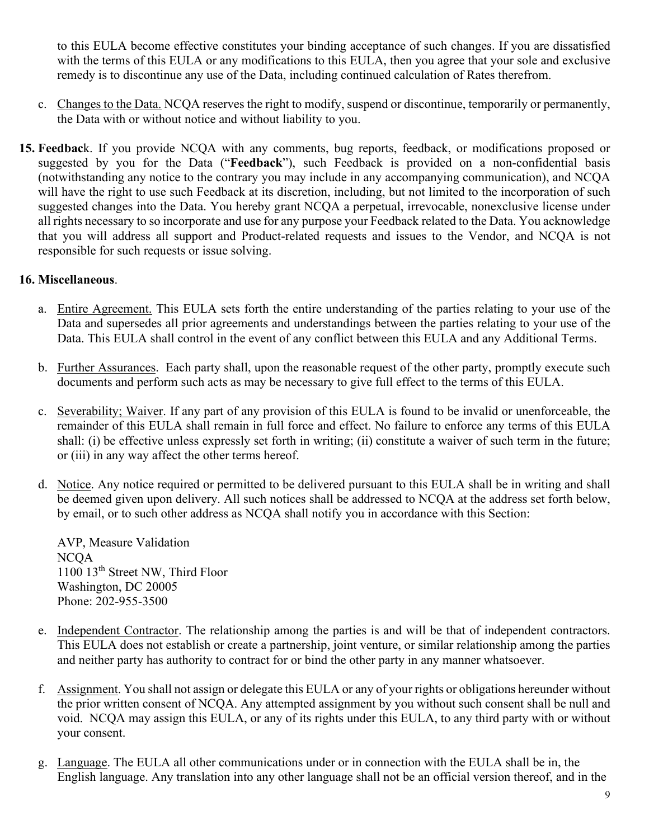to this EULA become effective constitutes your binding acceptance of such changes. If you are dissatisfied with the terms of this EULA or any modifications to this EULA, then you agree that your sole and exclusive remedy is to discontinue any use of the Data, including continued calculation of Rates therefrom.

- c. Changes to the Data. NCQA reserves the right to modify, suspend or discontinue, temporarily or permanently, the Data with or without notice and without liability to you.
- **15. Feedbac**k. If you provide NCQA with any comments, bug reports, feedback, or modifications proposed or suggested by you for the Data ("**Feedback**"), such Feedback is provided on a non-confidential basis (notwithstanding any notice to the contrary you may include in any accompanying communication), and NCQA will have the right to use such Feedback at its discretion, including, but not limited to the incorporation of such suggested changes into the Data. You hereby grant NCQA a perpetual, irrevocable, nonexclusive license under all rights necessary to so incorporate and use for any purpose your Feedback related to the Data. You acknowledge that you will address all support and Product-related requests and issues to the Vendor, and NCQA is not responsible for such requests or issue solving.

### **16. Miscellaneous**.

- a. Entire Agreement. This EULA sets forth the entire understanding of the parties relating to your use of the Data and supersedes all prior agreements and understandings between the parties relating to your use of the Data. This EULA shall control in the event of any conflict between this EULA and any Additional Terms.
- b. Further Assurances. Each party shall, upon the reasonable request of the other party, promptly execute such documents and perform such acts as may be necessary to give full effect to the terms of this EULA.
- c. Severability; Waiver. If any part of any provision of this EULA is found to be invalid or unenforceable, the remainder of this EULA shall remain in full force and effect. No failure to enforce any terms of this EULA shall: (i) be effective unless expressly set forth in writing; (ii) constitute a waiver of such term in the future; or (iii) in any way affect the other terms hereof.
- d. Notice. Any notice required or permitted to be delivered pursuant to this EULA shall be in writing and shall be deemed given upon delivery. All such notices shall be addressed to NCQA at the address set forth below, by email, or to such other address as NCQA shall notify you in accordance with this Section:

AVP, Measure Validation NCQA 1100 13th Street NW, Third Floor Washington, DC 20005 Phone: 202-955-3500

- e. Independent Contractor. The relationship among the parties is and will be that of independent contractors. This EULA does not establish or create a partnership, joint venture, or similar relationship among the parties and neither party has authority to contract for or bind the other party in any manner whatsoever.
- f. Assignment. You shall not assign or delegate this EULA or any of your rights or obligations hereunder without the prior written consent of NCQA. Any attempted assignment by you without such consent shall be null and void. NCQA may assign this EULA, or any of its rights under this EULA, to any third party with or without your consent.
- g. Language. The EULA all other communications under or in connection with the EULA shall be in, the English language. Any translation into any other language shall not be an official version thereof, and in the